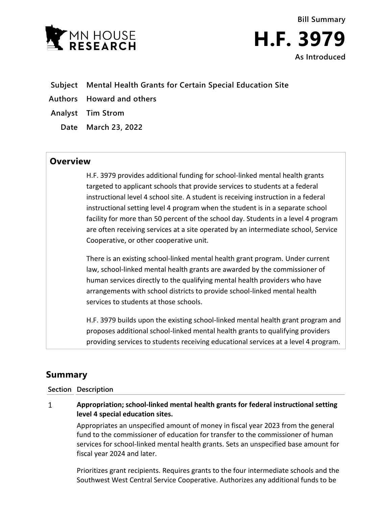



- **Subject Mental Health Grants for Certain Special Education Site**
- **Authors Howard and others**
- **Analyst Tim Strom**
	- **Date March 23, 2022**

## **Overview**

H.F. 3979 provides additional funding for school-linked mental health grants targeted to applicant schools that provide services to students at a federal instructional level 4 school site. A student is receiving instruction in a federal instructional setting level 4 program when the student is in a separate school facility for more than 50 percent of the school day. Students in a level 4 program are often receiving services at a site operated by an intermediate school, Service Cooperative, or other cooperative unit.

There is an existing school-linked mental health grant program. Under current law, school-linked mental health grants are awarded by the commissioner of human services directly to the qualifying mental health providers who have arrangements with school districts to provide school-linked mental health services to students at those schools.

H.F. 3979 builds upon the existing school-linked mental health grant program and proposes additional school-linked mental health grants to qualifying providers providing services to students receiving educational services at a level 4 program.

# **Summary**

### **Section Description**

#### $\mathbf{1}$ **Appropriation; school-linked mental health grants for federal instructional setting level 4 special education sites.**

Appropriates an unspecified amount of money in fiscal year 2023 from the general fund to the commissioner of education for transfer to the commissioner of human services for school-linked mental health grants. Sets an unspecified base amount for fiscal year 2024 and later.

Prioritizes grant recipients. Requires grants to the four intermediate schools and the Southwest West Central Service Cooperative. Authorizes any additional funds to be